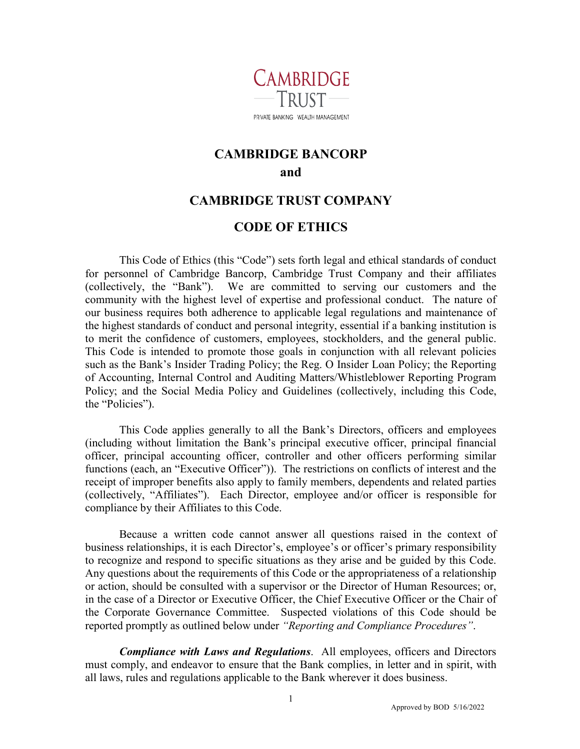

## **CAMBRIDGE BANCORP and**

## **CAMBRIDGE TRUST COMPANY**

## **CODE OF ETHICS**

This Code of Ethics (this "Code") sets forth legal and ethical standards of conduct for personnel of Cambridge Bancorp, Cambridge Trust Company and their affiliates (collectively, the "Bank"). We are committed to serving our customers and the community with the highest level of expertise and professional conduct. The nature of our business requires both adherence to applicable legal regulations and maintenance of the highest standards of conduct and personal integrity, essential if a banking institution is to merit the confidence of customers, employees, stockholders, and the general public. This Code is intended to promote those goals in conjunction with all relevant policies such as the Bank's Insider Trading Policy; the Reg. O Insider Loan Policy; the Reporting of Accounting, Internal Control and Auditing Matters/Whistleblower Reporting Program Policy; and the Social Media Policy and Guidelines (collectively, including this Code, the "Policies").

This Code applies generally to all the Bank's Directors, officers and employees (including without limitation the Bank's principal executive officer, principal financial officer, principal accounting officer, controller and other officers performing similar functions (each, an "Executive Officer")). The restrictions on conflicts of interest and the receipt of improper benefits also apply to family members, dependents and related parties (collectively, "Affiliates"). Each Director, employee and/or officer is responsible for compliance by their Affiliates to this Code.

Because a written code cannot answer all questions raised in the context of business relationships, it is each Director's, employee's or officer's primary responsibility to recognize and respond to specific situations as they arise and be guided by this Code. Any questions about the requirements of this Code or the appropriateness of a relationship or action, should be consulted with a supervisor or the Director of Human Resources; or, in the case of a Director or Executive Officer, the Chief Executive Officer or the Chair of the Corporate Governance Committee. Suspected violations of this Code should be reported promptly as outlined below under *"Reporting and Compliance Procedures"*.

*Compliance with Laws and Regulations*. All employees, officers and Directors must comply, and endeavor to ensure that the Bank complies, in letter and in spirit, with all laws, rules and regulations applicable to the Bank wherever it does business.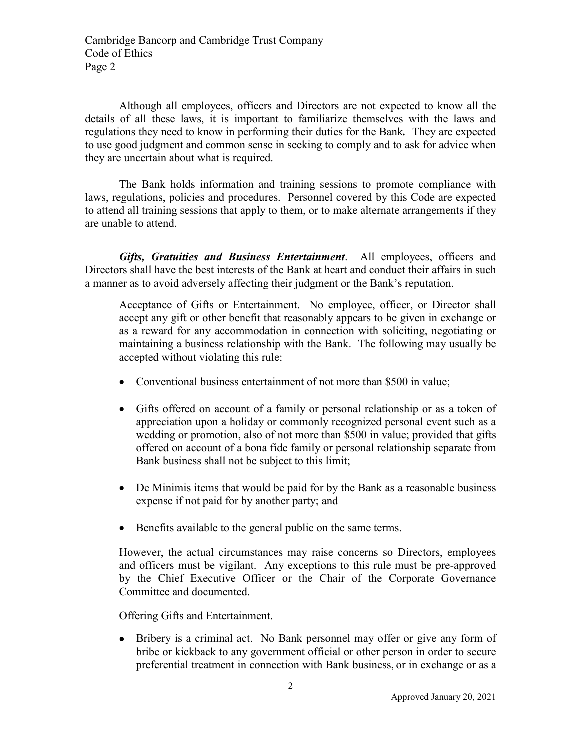Although all employees, officers and Directors are not expected to know all the details of all these laws, it is important to familiarize themselves with the laws and regulations they need to know in performing their duties for the Bank*.*They are expected to use good judgment and common sense in seeking to comply and to ask for advice when they are uncertain about what is required.

The Bank holds information and training sessions to promote compliance with laws, regulations, policies and procedures. Personnel covered by this Code are expected to attend all training sessions that apply to them, or to make alternate arrangements if they are unable to attend.

*Gifts, Gratuities and Business Entertainment*. All employees, officers and Directors shall have the best interests of the Bank at heart and conduct their affairs in such a manner as to avoid adversely affecting their judgment or the Bank's reputation.

Acceptance of Gifts or Entertainment. No employee, officer, or Director shall accept any gift or other benefit that reasonably appears to be given in exchange or as a reward for any accommodation in connection with soliciting, negotiating or maintaining a business relationship with the Bank. The following may usually be accepted without violating this rule:

- Conventional business entertainment of not more than \$500 in value;
- Gifts offered on account of a family or personal relationship or as a token of appreciation upon a holiday or commonly recognized personal event such as a wedding or promotion, also of not more than \$500 in value; provided that gifts offered on account of a bona fide family or personal relationship separate from Bank business shall not be subject to this limit;
- De Minimis items that would be paid for by the Bank as a reasonable business expense if not paid for by another party; and
- Benefits available to the general public on the same terms.

However, the actual circumstances may raise concerns so Directors, employees and officers must be vigilant. Any exceptions to this rule must be pre-approved by the Chief Executive Officer or the Chair of the Corporate Governance Committee and documented.

Offering Gifts and Entertainment.

• Bribery is a criminal act. No Bank personnel may offer or give any form of bribe or kickback to any government official or other person in order to secure preferential treatment in connection with Bank business, or in exchange or as a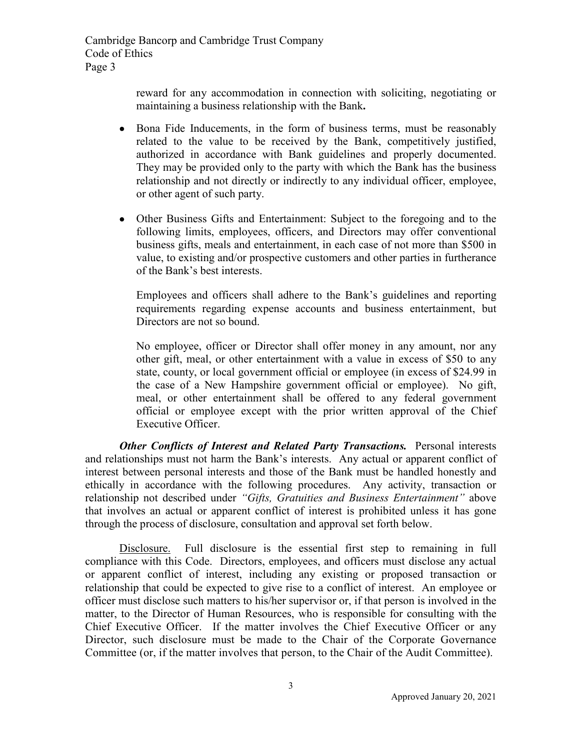> reward for any accommodation in connection with soliciting, negotiating or maintaining a business relationship with the Bank**.**

- Bona Fide Inducements, in the form of business terms, must be reasonably related to the value to be received by the Bank, competitively justified, authorized in accordance with Bank guidelines and properly documented. They may be provided only to the party with which the Bank has the business relationship and not directly or indirectly to any individual officer, employee, or other agent of such party.
- Other Business Gifts and Entertainment: Subject to the foregoing and to the following limits, employees, officers, and Directors may offer conventional business gifts, meals and entertainment, in each case of not more than \$500 in value, to existing and/or prospective customers and other parties in furtherance of the Bank's best interests.

Employees and officers shall adhere to the Bank's guidelines and reporting requirements regarding expense accounts and business entertainment, but Directors are not so bound.

No employee, officer or Director shall offer money in any amount, nor any other gift, meal, or other entertainment with a value in excess of \$50 to any state, county, or local government official or employee (in excess of \$24.99 in the case of a New Hampshire government official or employee). No gift, meal, or other entertainment shall be offered to any federal government official or employee except with the prior written approval of the Chief Executive Officer.

*Other Conflicts of Interest and Related Party Transactions.* Personal interests and relationships must not harm the Bank's interests. Any actual or apparent conflict of interest between personal interests and those of the Bank must be handled honestly and ethically in accordance with the following procedures. Any activity, transaction or relationship not described under *"Gifts, Gratuities and Business Entertainment"* above that involves an actual or apparent conflict of interest is prohibited unless it has gone through the process of disclosure, consultation and approval set forth below.

Disclosure. Full disclosure is the essential first step to remaining in full compliance with this Code. Directors, employees, and officers must disclose any actual or apparent conflict of interest, including any existing or proposed transaction or relationship that could be expected to give rise to a conflict of interest. An employee or officer must disclose such matters to his/her supervisor or, if that person is involved in the matter, to the Director of Human Resources, who is responsible for consulting with the Chief Executive Officer. If the matter involves the Chief Executive Officer or any Director, such disclosure must be made to the Chair of the Corporate Governance Committee (or, if the matter involves that person, to the Chair of the Audit Committee).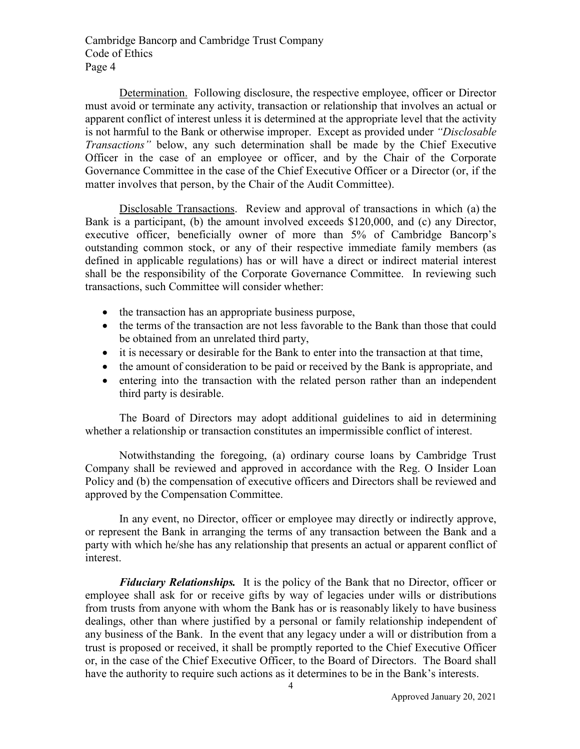Determination. Following disclosure, the respective employee, officer or Director must avoid or terminate any activity, transaction or relationship that involves an actual or apparent conflict of interest unless it is determined at the appropriate level that the activity is not harmful to the Bank or otherwise improper. Except as provided under *"Disclosable Transactions"* below, any such determination shall be made by the Chief Executive Officer in the case of an employee or officer, and by the Chair of the Corporate Governance Committee in the case of the Chief Executive Officer or a Director (or, if the matter involves that person, by the Chair of the Audit Committee).

Disclosable Transactions. Review and approval of transactions in which (a) the Bank is a participant, (b) the amount involved exceeds \$120,000, and (c) any Director, executive officer, beneficially owner of more than 5% of Cambridge Bancorp's outstanding common stock, or any of their respective immediate family members (as defined in applicable regulations) has or will have a direct or indirect material interest shall be the responsibility of the Corporate Governance Committee. In reviewing such transactions, such Committee will consider whether:

- the transaction has an appropriate business purpose,
- the terms of the transaction are not less favorable to the Bank than those that could be obtained from an unrelated third party,
- it is necessary or desirable for the Bank to enter into the transaction at that time,
- the amount of consideration to be paid or received by the Bank is appropriate, and
- entering into the transaction with the related person rather than an independent third party is desirable.

The Board of Directors may adopt additional guidelines to aid in determining whether a relationship or transaction constitutes an impermissible conflict of interest.

Notwithstanding the foregoing, (a) ordinary course loans by Cambridge Trust Company shall be reviewed and approved in accordance with the Reg. O Insider Loan Policy and (b) the compensation of executive officers and Directors shall be reviewed and approved by the Compensation Committee.

In any event, no Director, officer or employee may directly or indirectly approve, or represent the Bank in arranging the terms of any transaction between the Bank and a party with which he/she has any relationship that presents an actual or apparent conflict of interest.

*Fiduciary Relationships.* It is the policy of the Bank that no Director, officer or employee shall ask for or receive gifts by way of legacies under wills or distributions from trusts from anyone with whom the Bank has or is reasonably likely to have business dealings, other than where justified by a personal or family relationship independent of any business of the Bank. In the event that any legacy under a will or distribution from a trust is proposed or received, it shall be promptly reported to the Chief Executive Officer or, in the case of the Chief Executive Officer, to the Board of Directors. The Board shall have the authority to require such actions as it determines to be in the Bank's interests.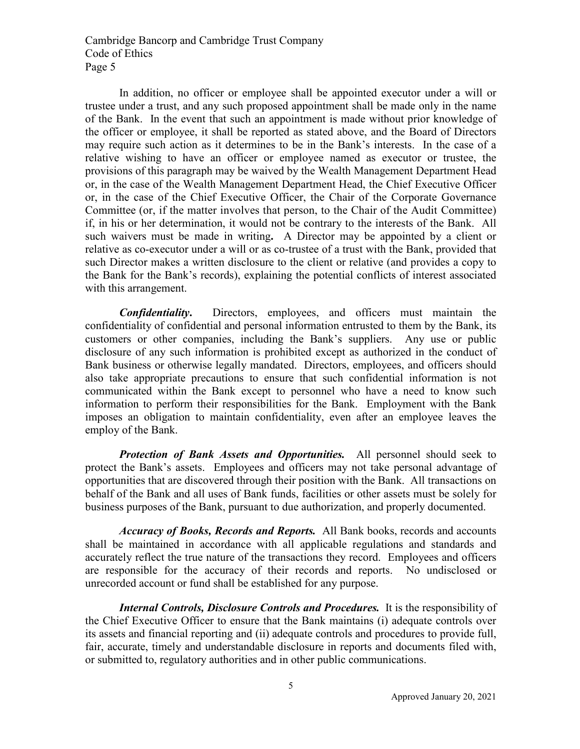In addition, no officer or employee shall be appointed executor under a will or trustee under a trust, and any such proposed appointment shall be made only in the name of the Bank. In the event that such an appointment is made without prior knowledge of the officer or employee, it shall be reported as stated above, and the Board of Directors may require such action as it determines to be in the Bank's interests. In the case of a relative wishing to have an officer or employee named as executor or trustee, the provisions of this paragraph may be waived by the Wealth Management Department Head or, in the case of the Wealth Management Department Head, the Chief Executive Officer or, in the case of the Chief Executive Officer, the Chair of the Corporate Governance Committee (or, if the matter involves that person, to the Chair of the Audit Committee) if, in his or her determination, it would not be contrary to the interests of the Bank. All such waivers must be made in writing**.** A Director may be appointed by a client or relative as co-executor under a will or as co-trustee of a trust with the Bank, provided that such Director makes a written disclosure to the client or relative (and provides a copy to the Bank for the Bank's records), explaining the potential conflicts of interest associated with this arrangement.

*Confidentiality***.** Directors, employees, and officers must maintain the confidentiality of confidential and personal information entrusted to them by the Bank, its customers or other companies, including the Bank's suppliers. Any use or public disclosure of any such information is prohibited except as authorized in the conduct of Bank business or otherwise legally mandated. Directors, employees, and officers should also take appropriate precautions to ensure that such confidential information is not communicated within the Bank except to personnel who have a need to know such information to perform their responsibilities for the Bank. Employment with the Bank imposes an obligation to maintain confidentiality, even after an employee leaves the employ of the Bank.

*Protection of Bank Assets and Opportunities.* All personnel should seek to protect the Bank's assets. Employees and officers may not take personal advantage of opportunities that are discovered through their position with the Bank. All transactions on behalf of the Bank and all uses of Bank funds, facilities or other assets must be solely for business purposes of the Bank, pursuant to due authorization, and properly documented.

*Accuracy of Books, Records and Reports.* All Bank books, records and accounts shall be maintained in accordance with all applicable regulations and standards and accurately reflect the true nature of the transactions they record. Employees and officers are responsible for the accuracy of their records and reports. No undisclosed or unrecorded account or fund shall be established for any purpose.

*Internal Controls, Disclosure Controls and Procedures.* It is the responsibility of the Chief Executive Officer to ensure that the Bank maintains (i) adequate controls over its assets and financial reporting and (ii) adequate controls and procedures to provide full, fair, accurate, timely and understandable disclosure in reports and documents filed with, or submitted to, regulatory authorities and in other public communications.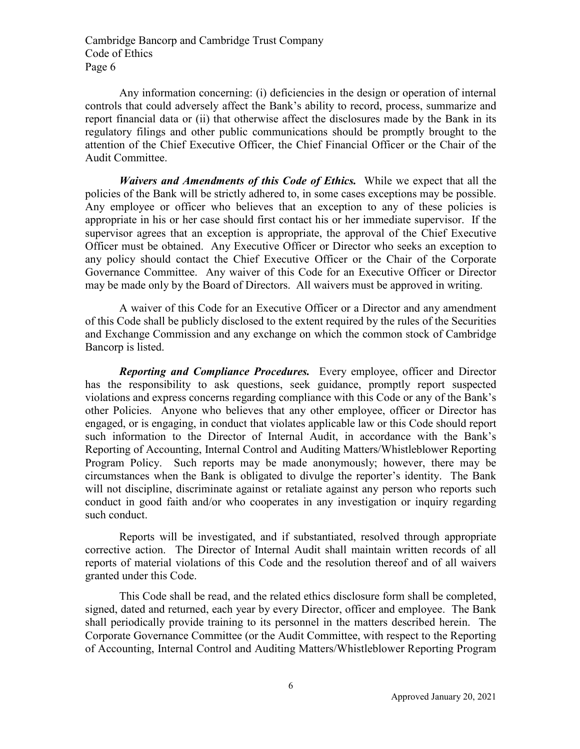Any information concerning: (i) deficiencies in the design or operation of internal controls that could adversely affect the Bank's ability to record, process, summarize and report financial data or (ii) that otherwise affect the disclosures made by the Bank in its regulatory filings and other public communications should be promptly brought to the attention of the Chief Executive Officer, the Chief Financial Officer or the Chair of the Audit Committee.

*Waivers and Amendments of this Code of Ethics.* While we expect that all the policies of the Bank will be strictly adhered to, in some cases exceptions may be possible. Any employee or officer who believes that an exception to any of these policies is appropriate in his or her case should first contact his or her immediate supervisor. If the supervisor agrees that an exception is appropriate, the approval of the Chief Executive Officer must be obtained. Any Executive Officer or Director who seeks an exception to any policy should contact the Chief Executive Officer or the Chair of the Corporate Governance Committee. Any waiver of this Code for an Executive Officer or Director may be made only by the Board of Directors. All waivers must be approved in writing.

A waiver of this Code for an Executive Officer or a Director and any amendment of this Code shall be publicly disclosed to the extent required by the rules of the Securities and Exchange Commission and any exchange on which the common stock of Cambridge Bancorp is listed.

*Reporting and Compliance Procedures.* Every employee, officer and Director has the responsibility to ask questions, seek guidance, promptly report suspected violations and express concerns regarding compliance with this Code or any of the Bank's other Policies. Anyone who believes that any other employee, officer or Director has engaged, or is engaging, in conduct that violates applicable law or this Code should report such information to the Director of Internal Audit, in accordance with the Bank's Reporting of Accounting, Internal Control and Auditing Matters/Whistleblower Reporting Program Policy. Such reports may be made anonymously; however, there may be circumstances when the Bank is obligated to divulge the reporter's identity. The Bank will not discipline, discriminate against or retaliate against any person who reports such conduct in good faith and/or who cooperates in any investigation or inquiry regarding such conduct.

Reports will be investigated, and if substantiated, resolved through appropriate corrective action. The Director of Internal Audit shall maintain written records of all reports of material violations of this Code and the resolution thereof and of all waivers granted under this Code.

This Code shall be read, and the related ethics disclosure form shall be completed, signed, dated and returned, each year by every Director, officer and employee. The Bank shall periodically provide training to its personnel in the matters described herein. The Corporate Governance Committee (or the Audit Committee, with respect to the Reporting of Accounting, Internal Control and Auditing Matters/Whistleblower Reporting Program